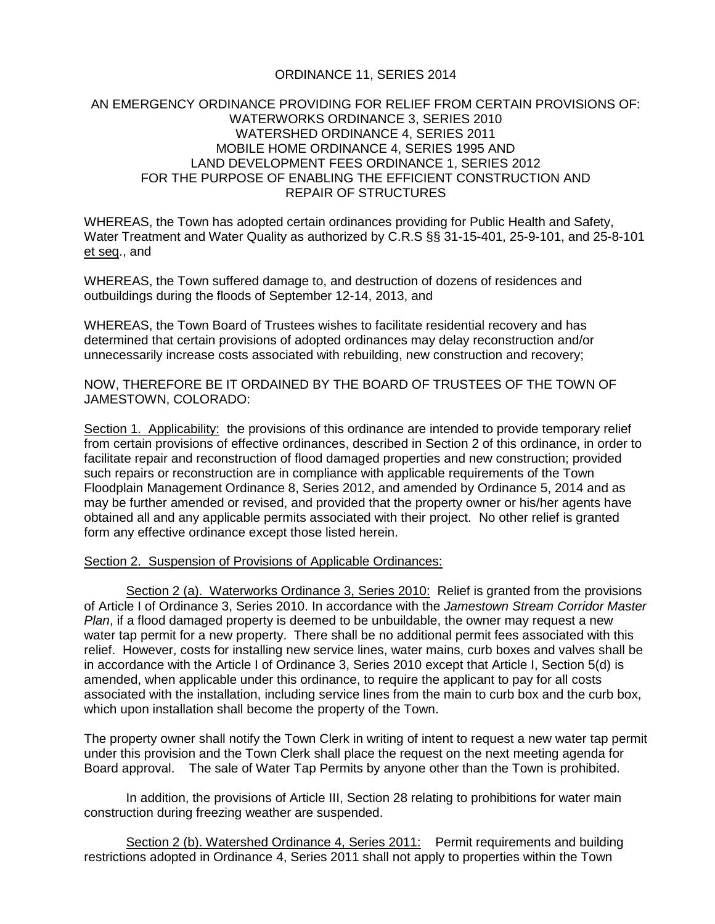## ORDINANCE 11, SERIES 2014

## AN EMERGENCY ORDINANCE PROVIDING FOR RELIEF FROM CERTAIN PROVISIONS OF: WATERWORKS ORDINANCE 3, SERIES 2010 WATERSHED ORDINANCE 4, SERIES 2011 MOBILE HOME ORDINANCE 4, SERIES 1995 AND LAND DEVELOPMENT FEES ORDINANCE 1, SERIES 2012 FOR THE PURPOSE OF ENABLING THE EFFICIENT CONSTRUCTION AND REPAIR OF STRUCTURES

WHEREAS, the Town has adopted certain ordinances providing for Public Health and Safety, Water Treatment and Water Quality as authorized by C.R.S §§ 31-15-401, 25-9-101, and 25-8-101 et seq., and

WHEREAS, the Town suffered damage to, and destruction of dozens of residences and outbuildings during the floods of September 12-14, 2013, and

WHEREAS, the Town Board of Trustees wishes to facilitate residential recovery and has determined that certain provisions of adopted ordinances may delay reconstruction and/or unnecessarily increase costs associated with rebuilding, new construction and recovery;

NOW, THEREFORE BE IT ORDAINED BY THE BOARD OF TRUSTEES OF THE TOWN OF JAMESTOWN, COLORADO:

Section 1. Applicability: the provisions of this ordinance are intended to provide temporary relief from certain provisions of effective ordinances, described in Section 2 of this ordinance, in order to facilitate repair and reconstruction of flood damaged properties and new construction; provided such repairs or reconstruction are in compliance with applicable requirements of the Town Floodplain Management Ordinance 8, Series 2012, and amended by Ordinance 5, 2014 and as may be further amended or revised, and provided that the property owner or his/her agents have obtained all and any applicable permits associated with their project. No other relief is granted form any effective ordinance except those listed herein.

## Section 2. Suspension of Provisions of Applicable Ordinances:

Section 2 (a). Waterworks Ordinance 3, Series 2010: Relief is granted from the provisions of Article I of Ordinance 3, Series 2010. In accordance with the *Jamestown Stream Corridor Master Plan*, if a flood damaged property is deemed to be unbuildable, the owner may request a new water tap permit for a new property. There shall be no additional permit fees associated with this relief. However, costs for installing new service lines, water mains, curb boxes and valves shall be in accordance with the Article I of Ordinance 3, Series 2010 except that Article I, Section 5(d) is amended, when applicable under this ordinance, to require the applicant to pay for all costs associated with the installation, including service lines from the main to curb box and the curb box, which upon installation shall become the property of the Town.

The property owner shall notify the Town Clerk in writing of intent to request a new water tap permit under this provision and the Town Clerk shall place the request on the next meeting agenda for Board approval. The sale of Water Tap Permits by anyone other than the Town is prohibited.

In addition, the provisions of Article III, Section 28 relating to prohibitions for water main construction during freezing weather are suspended.

Section 2 (b). Watershed Ordinance 4, Series 2011: Permit requirements and building restrictions adopted in Ordinance 4, Series 2011 shall not apply to properties within the Town